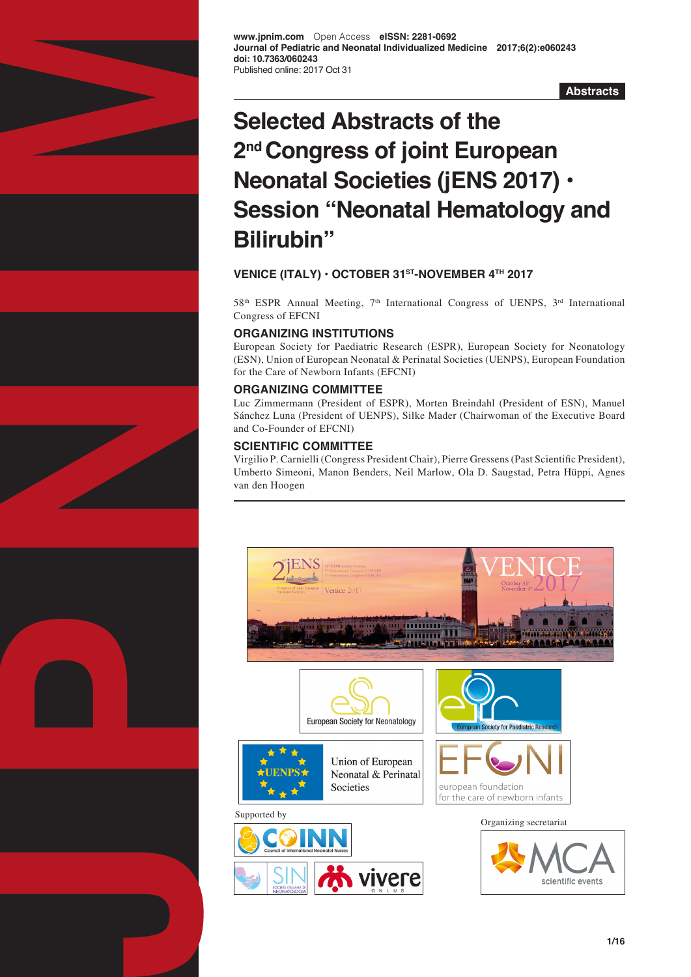

**www.jpnim.com** Open Access **eISSN: 2281-0692 Journal of Pediatric and Neonatal Individualized Medicine 2017;6(2):e060243 doi: 10.7363/060243** Published online: 2017 Oct 31

**Abstracts**

# **Selected Abstracts of the 2nd Congress of joint European Neonatal Societies (jENS 2017) • Session "Neonatal Hematology and Bilirubin"**

# **VENICE (ITALY) • OCTOBER 31ST-NOVEMBER 4TH 2017**

58<sup>th</sup> ESPR Annual Meeting, 7<sup>th</sup> International Congress of UENPS, 3<sup>rd</sup> International Congress of EFCNI

# **ORGANIZING INSTITUTIONS**

European Society for Paediatric Research (ESPR), European Society for Neonatology (ESN), Union of European Neonatal & Perinatal Societies (UENPS), European Foundation for the Care of Newborn Infants (EFCNI)

# **ORGANIZING COMMITTEE**

Luc Zimmermann (President of ESPR), Morten Breindahl (President of ESN), Manuel Sánchez Luna (President of UENPS), Silke Mader (Chairwoman of the Executive Board and Co-Founder of EFCNI)

# **SCIENTIFIC COMMITTEE**

Virgilio P. Carnielli (Congress President Chair), Pierre Gressens (Past Scientific President), Umberto Simeoni, Manon Benders, Neil Marlow, Ola D. Saugstad, Petra Hüppi, Agnes van den Hoogen

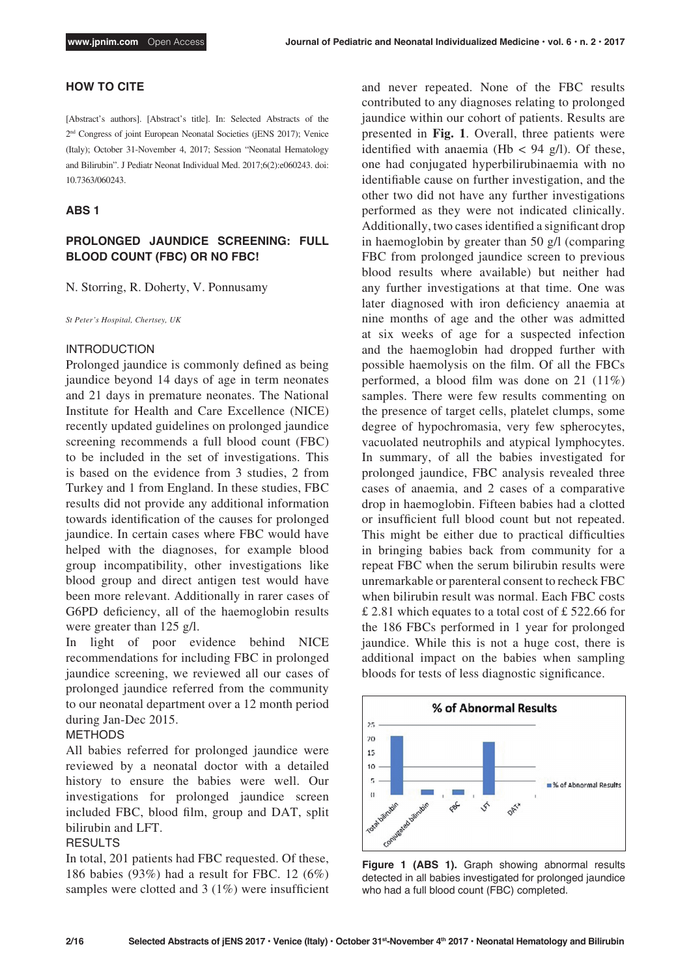# **HOW TO CITE**

[Abstract's authors]. [Abstract's title]. In: Selected Abstracts of the 2nd Congress of joint European Neonatal Societies (jENS 2017); Venice (Italy); October 31-November 4, 2017; Session "Neonatal Hematology and Bilirubin". J Pediatr Neonat Individual Med. 2017;6(2):e060243. doi: 10.7363/060243.

# **ABS 1**

# **PROLONGED JAUNDICE SCREENING: FULL BLOOD COUNT (FBC) OR NO FBC!**

N. Storring, R. Doherty, V. Ponnusamy

*St Peter's Hospital, Chertsey, UK*

## INTRODUCTION

Prolonged jaundice is commonly defined as being jaundice beyond 14 days of age in term neonates and 21 days in premature neonates. The National Institute for Health and Care Excellence (NICE) recently updated guidelines on prolonged jaundice screening recommends a full blood count (FBC) to be included in the set of investigations. This is based on the evidence from 3 studies, 2 from Turkey and 1 from England. In these studies, FBC results did not provide any additional information towards identification of the causes for prolonged jaundice. In certain cases where FBC would have helped with the diagnoses, for example blood group incompatibility, other investigations like blood group and direct antigen test would have been more relevant. Additionally in rarer cases of G6PD deficiency, all of the haemoglobin results were greater than 125 g/l.

In light of poor evidence behind NICE recommendations for including FBC in prolonged jaundice screening, we reviewed all our cases of prolonged jaundice referred from the community to our neonatal department over a 12 month period during Jan-Dec 2015.

#### METHODS

All babies referred for prolonged jaundice were reviewed by a neonatal doctor with a detailed history to ensure the babies were well. Our investigations for prolonged jaundice screen included FBC, blood film, group and DAT, split bilirubin and LFT.

## RESULTS

In total, 201 patients had FBC requested. Of these, 186 babies (93%) had a result for FBC. 12 (6%) samples were clotted and 3 (1%) were insufficient and never repeated. None of the FBC results contributed to any diagnoses relating to prolonged jaundice within our cohort of patients. Results are presented in **Fig. 1**. Overall, three patients were identified with anaemia (Hb <  $94$  g/l). Of these, one had conjugated hyperbilirubinaemia with no identifiable cause on further investigation, and the other two did not have any further investigations performed as they were not indicated clinically. Additionally, two cases identified a significant drop in haemoglobin by greater than 50 g/l (comparing FBC from prolonged jaundice screen to previous blood results where available) but neither had any further investigations at that time. One was later diagnosed with iron deficiency anaemia at nine months of age and the other was admitted at six weeks of age for a suspected infection and the haemoglobin had dropped further with possible haemolysis on the film. Of all the FBCs performed, a blood film was done on 21 (11%) samples. There were few results commenting on the presence of target cells, platelet clumps, some degree of hypochromasia, very few spherocytes, vacuolated neutrophils and atypical lymphocytes. In summary, of all the babies investigated for prolonged jaundice, FBC analysis revealed three cases of anaemia, and 2 cases of a comparative drop in haemoglobin. Fifteen babies had a clotted or insufficient full blood count but not repeated. This might be either due to practical difficulties in bringing babies back from community for a repeat FBC when the serum bilirubin results were unremarkable or parenteral consent to recheck FBC when bilirubin result was normal. Each FBC costs £ 2.81 which equates to a total cost of £ 522.66 for the 186 FBCs performed in 1 year for prolonged jaundice. While this is not a huge cost, there is additional impact on the babies when sampling bloods for tests of less diagnostic significance.



Figure 1 (ABS 1). Graph showing abnormal results detected in all babies investigated for prolonged jaundice who had a full blood count (FBC) completed.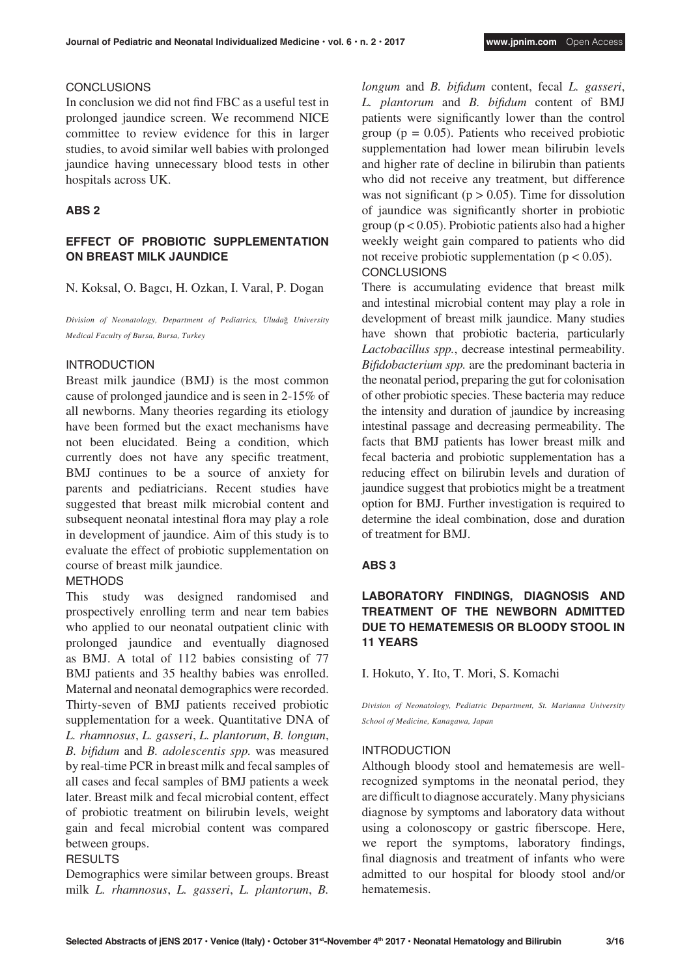### **CONCLUSIONS**

In conclusion we did not find FBC as a useful test in prolonged jaundice screen. We recommend NICE committee to review evidence for this in larger studies, to avoid similar well babies with prolonged jaundice having unnecessary blood tests in other hospitals across UK.

## **ABS 2**

# **EFFECT OF PROBIOTIC SUPPLEMENTATION ON BREAST MILK JAUNDICE**

N. Koksal, O. Bagcı, H. Ozkan, I. Varal, P. Dogan

*Division of Neonatology, Department of Pediatrics, Uluda*ğ *University Medical Faculty of Bursa, Bursa, Turkey*

## INTRODUCTION

Breast milk jaundice (BMJ) is the most common cause of prolonged jaundice and is seen in 2-15% of all newborns. Many theories regarding its etiology have been formed but the exact mechanisms have not been elucidated. Being a condition, which currently does not have any specific treatment, BMJ continues to be a source of anxiety for parents and pediatricians. Recent studies have suggested that breast milk microbial content and subsequent neonatal intestinal flora may play a role in development of jaundice. Aim of this study is to evaluate the effect of probiotic supplementation on course of breast milk jaundice.

#### METHODS

This study was designed randomised and prospectively enrolling term and near tem babies who applied to our neonatal outpatient clinic with prolonged jaundice and eventually diagnosed as BMJ. A total of 112 babies consisting of 77 BMJ patients and 35 healthy babies was enrolled. Maternal and neonatal demographics were recorded. Thirty-seven of BMJ patients received probiotic supplementation for a week. Quantitative DNA of *L. rhamnosus*, *L. gasseri*, *L. plantorum*, *B. longum*, *B. bifidum* and *B. adolescentis spp.* was measured by real-time PCR in breast milk and fecal samples of all cases and fecal samples of BMJ patients a week later. Breast milk and fecal microbial content, effect of probiotic treatment on bilirubin levels, weight gain and fecal microbial content was compared between groups.

#### **RESULTS**

Demographics were similar between groups. Breast milk *L. rhamnosus*, *L. gasseri*, *L. plantorum*, *B.* 

*longum* and *B. bifidum* content, fecal *L. gasseri*, *L. plantorum* and *B. bifidum* content of BMJ patients were significantly lower than the control group ( $p = 0.05$ ). Patients who received probiotic supplementation had lower mean bilirubin levels and higher rate of decline in bilirubin than patients who did not receive any treatment, but difference was not significant ( $p > 0.05$ ). Time for dissolution of jaundice was significantly shorter in probiotic group ( $p < 0.05$ ). Probiotic patients also had a higher weekly weight gain compared to patients who did not receive probiotic supplementation ( $p < 0.05$ ). **CONCLUSIONS** 

There is accumulating evidence that breast milk and intestinal microbial content may play a role in development of breast milk jaundice. Many studies have shown that probiotic bacteria, particularly *Lactobacillus spp.*, decrease intestinal permeability. *Bifidobacterium spp.* are the predominant bacteria in the neonatal period, preparing the gut for colonisation of other probiotic species. These bacteria may reduce the intensity and duration of jaundice by increasing intestinal passage and decreasing permeability. The facts that BMJ patients has lower breast milk and fecal bacteria and probiotic supplementation has a reducing effect on bilirubin levels and duration of jaundice suggest that probiotics might be a treatment option for BMJ. Further investigation is required to determine the ideal combination, dose and duration of treatment for BMJ.

## **ABS 3**

# **LABORATORY FINDINGS, DIAGNOSIS AND TREATMENT OF THE NEWBORN ADMITTED DUE TO HEMATEMESIS OR BLOODY STOOL IN 11 YEARS**

I. Hokuto, Y. Ito, T. Mori, S. Komachi

*Division of Neonatology, Pediatric Department, St. Marianna University School of Medicine, Kanagawa, Japan*

## INTRODUCTION

Although bloody stool and hematemesis are wellrecognized symptoms in the neonatal period, they are difficult to diagnose accurately. Many physicians diagnose by symptoms and laboratory data without using a colonoscopy or gastric fiberscope. Here, we report the symptoms, laboratory findings, final diagnosis and treatment of infants who were admitted to our hospital for bloody stool and/or hematemesis.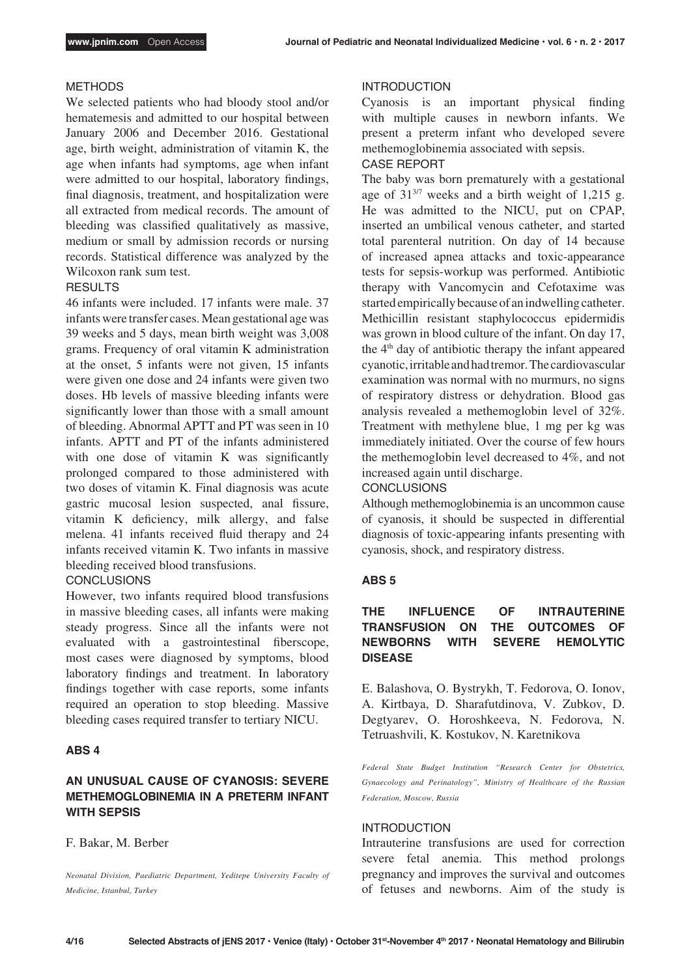## METHODS

We selected patients who had bloody stool and/or hematemesis and admitted to our hospital between January 2006 and December 2016. Gestational age, birth weight, administration of vitamin K, the age when infants had symptoms, age when infant were admitted to our hospital, laboratory findings, final diagnosis, treatment, and hospitalization were all extracted from medical records. The amount of bleeding was classified qualitatively as massive, medium or small by admission records or nursing records. Statistical difference was analyzed by the Wilcoxon rank sum test.

#### RESULTS

46 infants were included. 17 infants were male. 37 infants were transfer cases. Mean gestational age was 39 weeks and 5 days, mean birth weight was 3,008 grams. Frequency of oral vitamin K administration at the onset, 5 infants were not given, 15 infants were given one dose and 24 infants were given two doses. Hb levels of massive bleeding infants were significantly lower than those with a small amount of bleeding. Abnormal APTT and PT was seen in 10 infants. APTT and PT of the infants administered with one dose of vitamin K was significantly prolonged compared to those administered with two doses of vitamin K. Final diagnosis was acute gastric mucosal lesion suspected, anal fissure, vitamin K deficiency, milk allergy, and false melena. 41 infants received fluid therapy and 24 infants received vitamin K. Two infants in massive bleeding received blood transfusions.

#### **CONCLUSIONS**

However, two infants required blood transfusions in massive bleeding cases, all infants were making steady progress. Since all the infants were not evaluated with a gastrointestinal fiberscope, most cases were diagnosed by symptoms, blood laboratory findings and treatment. In laboratory findings together with case reports, some infants required an operation to stop bleeding. Massive bleeding cases required transfer to tertiary NICU.

#### **ABS 4**

# **AN UNUSUAL CAUSE OF CYANOSIS: SEVERE METHEMOGLOBINEMIA IN A PRETERM INFANT WITH SEPSIS**

## F. Bakar, M. Berber

*Neonatal Division, Paediatric Department, Yeditepe University Faculty of Medicine, Istanbul, Turkey*

#### INTRODUCTION

Cyanosis is an important physical finding with multiple causes in newborn infants. We present a preterm infant who developed severe methemoglobinemia associated with sepsis.

# CASE REPORT

The baby was born prematurely with a gestational age of  $31^{3/7}$  weeks and a birth weight of 1,215 g. He was admitted to the NICU, put on CPAP, inserted an umbilical venous catheter, and started total parenteral nutrition. On day of 14 because of increased apnea attacks and toxic-appearance tests for sepsis-workup was performed. Antibiotic therapy with Vancomycin and Cefotaxime was started empirically because of an indwelling catheter. Methicillin resistant staphylococcus epidermidis was grown in blood culture of the infant. On day 17, the 4<sup>th</sup> day of antibiotic therapy the infant appeared cyanotic, irritable and had tremor. The cardiovascular examination was normal with no murmurs, no signs of respiratory distress or dehydration. Blood gas analysis revealed a methemoglobin level of 32%. Treatment with methylene blue, 1 mg per kg was immediately initiated. Over the course of few hours the methemoglobin level decreased to 4%, and not increased again until discharge.

## **CONCLUSIONS**

Although methemoglobinemia is an uncommon cause of cyanosis, it should be suspected in differential diagnosis of toxic-appearing infants presenting with cyanosis, shock, and respiratory distress.

#### **ABS 5**

# **THE INFLUENCE OF INTRAUTERINE TRANSFUSION ON THE OUTCOMES OF NEWBORNS WITH SEVERE HEMOLYTIC DISEASE**

E. Balashova, O. Bystrykh, T. Fedorova, O. Ionov, A. Kirtbaya, D. Sharafutdinova, V. Zubkov, D. Degtyarev, O. Horoshkeeva, N. Fedorova, N. Tetruashvili, K. Kostukov, N. Karetnikova

*Federal State Budget Institution "Research Center for Obstetrics, Gynaecology and Perinatology", Ministry of Healthcare of the Russian Federation, Moscow, Russia*

## INTRODUCTION

Intrauterine transfusions are used for correction severe fetal anemia. This method prolongs pregnancy and improves the survival and outcomes of fetuses and newborns. Aim of the study is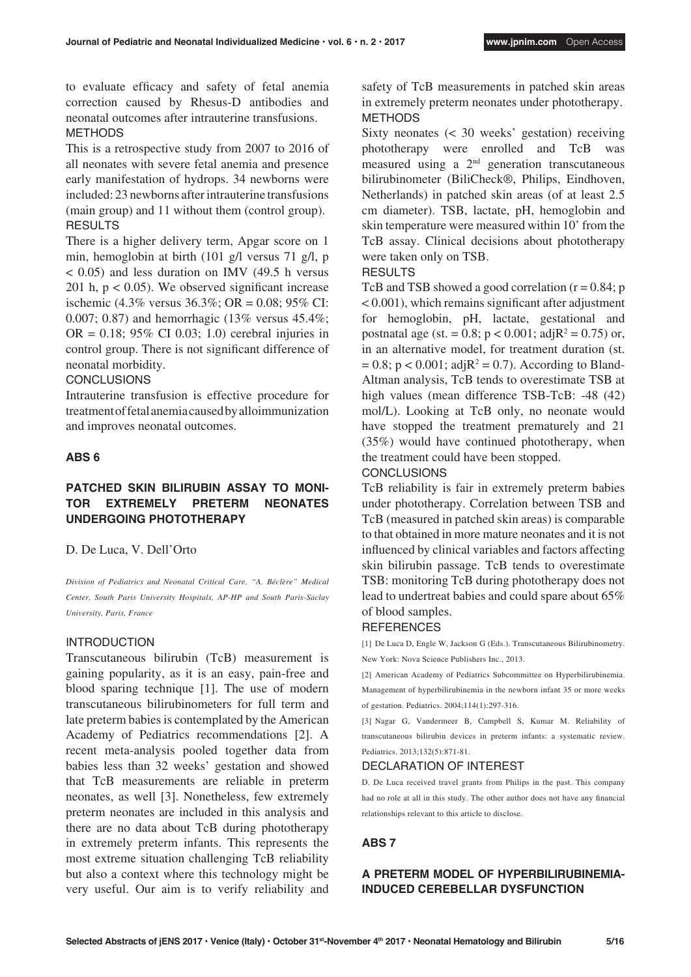to evaluate efficacy and safety of fetal anemia correction caused by Rhesus-D antibodies and neonatal outcomes after intrauterine transfusions. METHODS

This is a retrospective study from 2007 to 2016 of all neonates with severe fetal anemia and presence early manifestation of hydrops. 34 newborns were included: 23 newborns after intrauterine transfusions (main group) and 11 without them (control group). RESULTS

There is a higher delivery term, Apgar score on 1 min, hemoglobin at birth (101 g/l versus 71 g/l, p < 0.05) and less duration on IMV (49.5 h versus 201 h,  $p < 0.05$ ). We observed significant increase ischemic (4.3% versus 36.3%; OR = 0.08; 95% CI: 0.007; 0.87) and hemorrhagic (13% versus 45.4%; OR =  $0.18$ ; 95% CI 0.03; 1.0) cerebral injuries in control group. There is not significant difference of neonatal morbidity.

#### CONCLUSIONS

Intrauterine transfusion is effective procedure for treatment of fetal anemia caused by alloimmunization and improves neonatal outcomes.

## **ABS 6**

# **PATCHED SKIN BILIRUBIN ASSAY TO MONI-TOR EXTREMELY PRETERM NEONATES UNDERGOING PHOTOTHERAPY**

D. De Luca, V. Dell'Orto

*Division of Pediatrics and Neonatal Critical Care, "A. Béclère" Medical Center, South Paris University Hospitals, AP-HP and South Paris-Saclay University, Paris, France*

#### INTRODUCTION

Transcutaneous bilirubin (TcB) measurement is gaining popularity, as it is an easy, pain-free and blood sparing technique [1]. The use of modern transcutaneous bilirubinometers for full term and late preterm babies is contemplated by the American Academy of Pediatrics recommendations [2]. A recent meta-analysis pooled together data from babies less than 32 weeks' gestation and showed that TcB measurements are reliable in preterm neonates, as well [3]. Nonetheless, few extremely preterm neonates are included in this analysis and there are no data about TcB during phototherapy in extremely preterm infants. This represents the most extreme situation challenging TcB reliability but also a context where this technology might be very useful. Our aim is to verify reliability and

safety of TcB measurements in patched skin areas in extremely preterm neonates under phototherapy. METHODS

Sixty neonates (< 30 weeks' gestation) receiving phototherapy were enrolled and TcB was measured using a 2<sup>nd</sup> generation transcutaneous bilirubinometer (BiliCheck®, Philips, Eindhoven, Netherlands) in patched skin areas (of at least 2.5 cm diameter). TSB, lactate, pH, hemoglobin and skin temperature were measured within 10' from the TcB assay. Clinical decisions about phototherapy were taken only on TSB.

#### **RESULTS**

TcB and TSB showed a good correlation  $(r = 0.84; p$ < 0.001), which remains significant after adjustment for hemoglobin, pH, lactate, gestational and postnatal age (st. = 0.8;  $p < 0.001$ ; adj $R^2 = 0.75$ ) or, in an alternative model, for treatment duration (st.  $= 0.8$ ; p < 0.001; adj $R^2 = 0.7$ ). According to Bland-Altman analysis, TcB tends to overestimate TSB at high values (mean difference TSB-TcB: -48 (42) mol/L). Looking at TcB only, no neonate would have stopped the treatment prematurely and 21 (35%) would have continued phototherapy, when the treatment could have been stopped.

#### **CONCLUSIONS**

TcB reliability is fair in extremely preterm babies under phototherapy. Correlation between TSB and TcB (measured in patched skin areas) is comparable to that obtained in more mature neonates and it is not influenced by clinical variables and factors affecting skin bilirubin passage. TcB tends to overestimate TSB: monitoring TcB during phototherapy does not lead to undertreat babies and could spare about 65% of blood samples.

## **REFERENCES**

[1] De Luca D, Engle W, Jackson G (Eds.). Transcutaneous Bilirubinometry. New York: Nova Science Publishers Inc., 2013.

[2] American Academy of Pediatrics Subcommittee on Hyperbilirubinemia. Management of hyperbilirubinemia in the newborn infant 35 or more weeks of gestation. Pediatrics. 2004;114(1):297-316.

[3] Nagar G, Vandermeer B, Campbell S, Kumar M. Reliability of transcutaneous bilirubin devices in preterm infants: a systematic review. Pediatrics. 2013;132(5):871-81.

#### DECLARATION OF INTEREST

D. De Luca received travel grants from Philips in the past. This company had no role at all in this study. The other author does not have any financial relationships relevant to this article to disclose.

#### **ABS 7**

# **A PRETERM MODEL OF HYPERBILIRUBINEMIA-INDUCED CEREBELLAR DYSFUNCTION**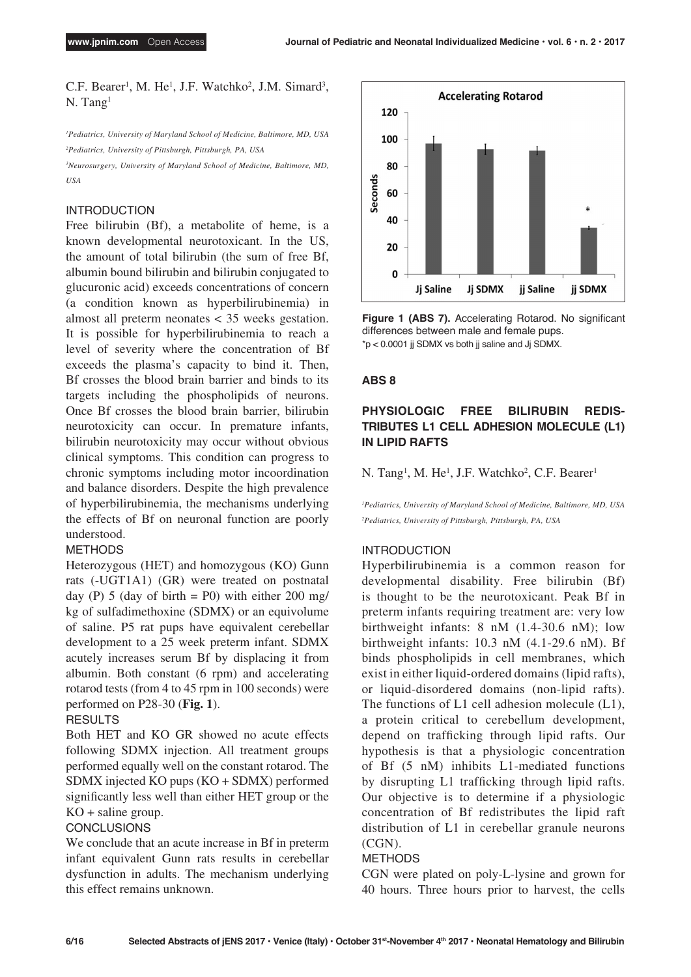C.F. Bearer<sup>1</sup>, M. He<sup>1</sup>, J.F. Watchko<sup>2</sup>, J.M. Simard<sup>3</sup>, N. Tang<sup>1</sup>

*1 Pediatrics, University of Maryland School of Medicine, Baltimore, MD, USA 2 Pediatrics, University of Pittsburgh, Pittsburgh, PA, USA*

*3 Neurosurgery, University of Maryland School of Medicine, Baltimore, MD, USA*

# INTRODUCTION

Free bilirubin (Bf), a metabolite of heme, is a known developmental neurotoxicant. In the US, the amount of total bilirubin (the sum of free Bf, albumin bound bilirubin and bilirubin conjugated to glucuronic acid) exceeds concentrations of concern (a condition known as hyperbilirubinemia) in almost all preterm neonates < 35 weeks gestation. It is possible for hyperbilirubinemia to reach a level of severity where the concentration of Bf exceeds the plasma's capacity to bind it. Then, Bf crosses the blood brain barrier and binds to its targets including the phospholipids of neurons. Once Bf crosses the blood brain barrier, bilirubin neurotoxicity can occur. In premature infants, bilirubin neurotoxicity may occur without obvious clinical symptoms. This condition can progress to chronic symptoms including motor incoordination and balance disorders. Despite the high prevalence of hyperbilirubinemia, the mechanisms underlying the effects of Bf on neuronal function are poorly understood.

## METHODS

Heterozygous (HET) and homozygous (KO) Gunn rats (-UGT1A1) (GR) were treated on postnatal day (P)  $5$  (day of birth = P0) with either 200 mg/ kg of sulfadimethoxine (SDMX) or an equivolume of saline. P5 rat pups have equivalent cerebellar development to a 25 week preterm infant. SDMX acutely increases serum Bf by displacing it from albumin. Both constant (6 rpm) and accelerating rotarod tests (from 4 to 45 rpm in 100 seconds) were performed on P28-30 (**Fig. 1**).

#### RESULTS

Both HET and KO GR showed no acute effects following SDMX injection. All treatment groups performed equally well on the constant rotarod. The SDMX injected KO pups (KO + SDMX) performed significantly less well than either HET group or the  $KO +$  saline group.

## **CONCLUSIONS**

We conclude that an acute increase in Bf in preterm infant equivalent Gunn rats results in cerebellar dysfunction in adults. The mechanism underlying this effect remains unknown.



**Figure 1 (ABS 7).** Accelerating Rotarod. No significant differences between male and female pups.  $*p < 0.0001$  jj SDMX vs both jj saline and Jj SDMX.

#### **ABS 8**

# **PHYSIOLOGIC FREE BILIRUBIN REDIS-TRIBUTES L1 CELL ADHESION MOLECULE (L1) IN LIPID RAFTS**

#### N. Tang<sup>1</sup>, M. He<sup>1</sup>, J.F. Watchko<sup>2</sup>, C.F. Bearer<sup>1</sup>

*1 Pediatrics, University of Maryland School of Medicine, Baltimore, MD, USA 2 Pediatrics, University of Pittsburgh, Pittsburgh, PA, USA*

## INTRODUCTION

Hyperbilirubinemia is a common reason for developmental disability. Free bilirubin (Bf) is thought to be the neurotoxicant. Peak Bf in preterm infants requiring treatment are: very low birthweight infants: 8 nM (1.4-30.6 nM); low birthweight infants: 10.3 nM (4.1-29.6 nM). Bf binds phospholipids in cell membranes, which exist in either liquid-ordered domains (lipid rafts), or liquid-disordered domains (non-lipid rafts). The functions of L1 cell adhesion molecule (L1), a protein critical to cerebellum development, depend on trafficking through lipid rafts. Our hypothesis is that a physiologic concentration of Bf (5 nM) inhibits L1-mediated functions by disrupting L1 trafficking through lipid rafts. Our objective is to determine if a physiologic concentration of Bf redistributes the lipid raft distribution of L1 in cerebellar granule neurons (CGN).

## METHODS

CGN were plated on poly-L-lysine and grown for 40 hours. Three hours prior to harvest, the cells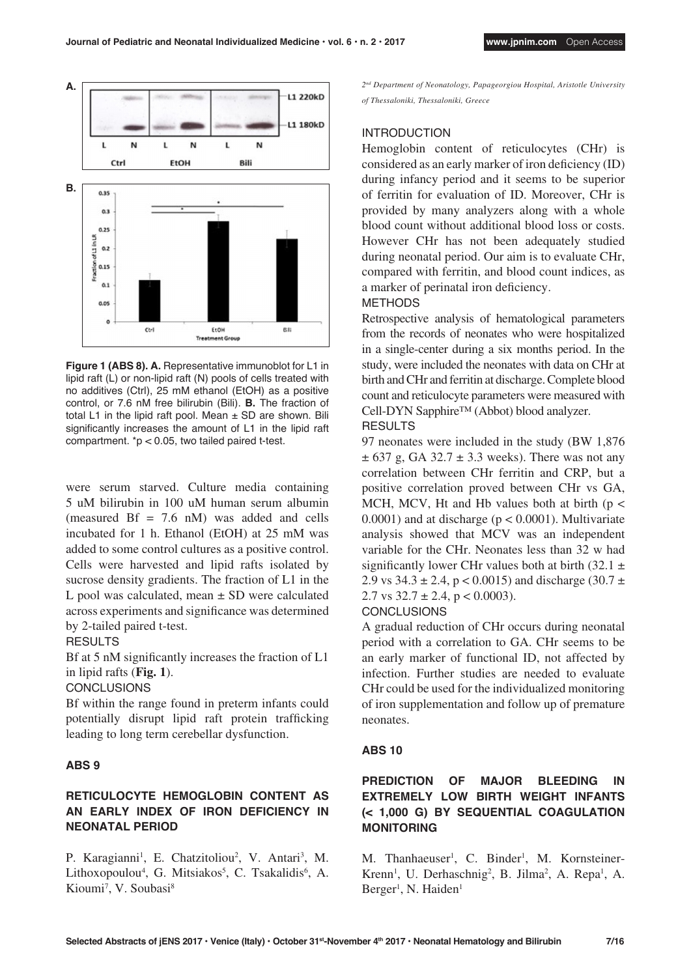

**Figure 1 (ABS 8). A.** Representative immunoblot for L1 in lipid raft (L) or non-lipid raft (N) pools of cells treated with no additives (Ctrl), 25 mM ethanol (EtOH) as a positive control, or 7.6 nM free bilirubin (Bili). **B.** The fraction of total L1 in the lipid raft pool. Mean  $\pm$  SD are shown. Bili significantly increases the amount of L1 in the lipid raft compartment. \*p < 0.05, two tailed paired t-test.

were serum starved. Culture media containing 5 uM bilirubin in 100 uM human serum albumin (measured  $Bf = 7.6$  nM) was added and cells incubated for 1 h. Ethanol (EtOH) at 25 mM was added to some control cultures as a positive control. Cells were harvested and lipid rafts isolated by sucrose density gradients. The fraction of L1 in the L pool was calculated, mean ± SD were calculated across experiments and significance was determined by 2-tailed paired t-test.

RESULTS

Bf at 5 nM significantly increases the fraction of L1 in lipid rafts (**Fig. 1**).

CONCLUSIONS

Bf within the range found in preterm infants could potentially disrupt lipid raft protein trafficking leading to long term cerebellar dysfunction.

#### **ABS 9**

# **RETICULOCYTE HEMOGLOBIN CONTENT AS AN EARLY INDEX OF IRON DEFICIENCY IN NEONATAL PERIOD**

P. Karagianni<sup>1</sup>, E. Chatzitoliou<sup>2</sup>, V. Antari<sup>3</sup>, M. Lithoxopoulou<sup>4</sup>, G. Mitsiakos<sup>5</sup>, C. Tsakalidis<sup>6</sup>, A. Kioumi<sup>7</sup>, V. Soubasi<sup>8</sup>

*2nd Department of Neonatology, Papageorgiou Hospital, Aristotle University of Thessaloniki, Thessaloniki, Greece*

## INTRODUCTION

Hemoglobin content of reticulocytes (CHr) is considered as an early marker of iron deficiency (ID) during infancy period and it seems to be superior of ferritin for evaluation of ID. Moreover, CHr is provided by many analyzers along with a whole blood count without additional blood loss or costs. However CHr has not been adequately studied during neonatal period. Our aim is to evaluate CHr, compared with ferritin, and blood count indices, as a marker of perinatal iron deficiency.

#### METHODS

Retrospective analysis of hematological parameters from the records of neonates who were hospitalized in a single-center during a six months period. In the study, were included the neonates with data on CHr at birth and CHr and ferritin at discharge. Complete blood count and reticulocyte parameters were measured with Cell-DYN Sapphire™ (Abbot) blood analyzer.

## **RESULTS**

97 neonates were included in the study (BW 1,876  $\pm$  637 g, GA 32.7  $\pm$  3.3 weeks). There was not any correlation between CHr ferritin and CRP, but a positive correlation proved between CHr vs GA, MCH, MCV, Ht and Hb values both at birth ( $p <$ 0.0001) and at discharge ( $p < 0.0001$ ). Multivariate analysis showed that MCV was an independent variable for the CHr. Neonates less than 32 w had significantly lower CHr values both at birth (32.1  $\pm$ 2.9 vs  $34.3 \pm 2.4$ , p < 0.0015) and discharge (30.7  $\pm$ 2.7 vs  $32.7 \pm 2.4$ , p < 0.0003).

#### **CONCLUSIONS**

A gradual reduction of CHr occurs during neonatal period with a correlation to GA. CHr seems to be an early marker of functional ID, not affected by infection. Further studies are needed to evaluate CHr could be used for the individualized monitoring of iron supplementation and follow up of premature neonates.

#### **ABS 10**

# **PREDICTION OF MAJOR BLEEDING IN EXTREMELY LOW BIRTH WEIGHT INFANTS (< 1,000 G) BY SEQUENTIAL COAGULATION MONITORING**

M. Thanhaeuser<sup>1</sup>, C. Binder<sup>1</sup>, M. Kornsteiner-Krenn<sup>1</sup>, U. Derhaschnig<sup>2</sup>, B. Jilma<sup>2</sup>, A. Repa<sup>1</sup>, A. Berger<sup>1</sup>, N. Haiden<sup>1</sup>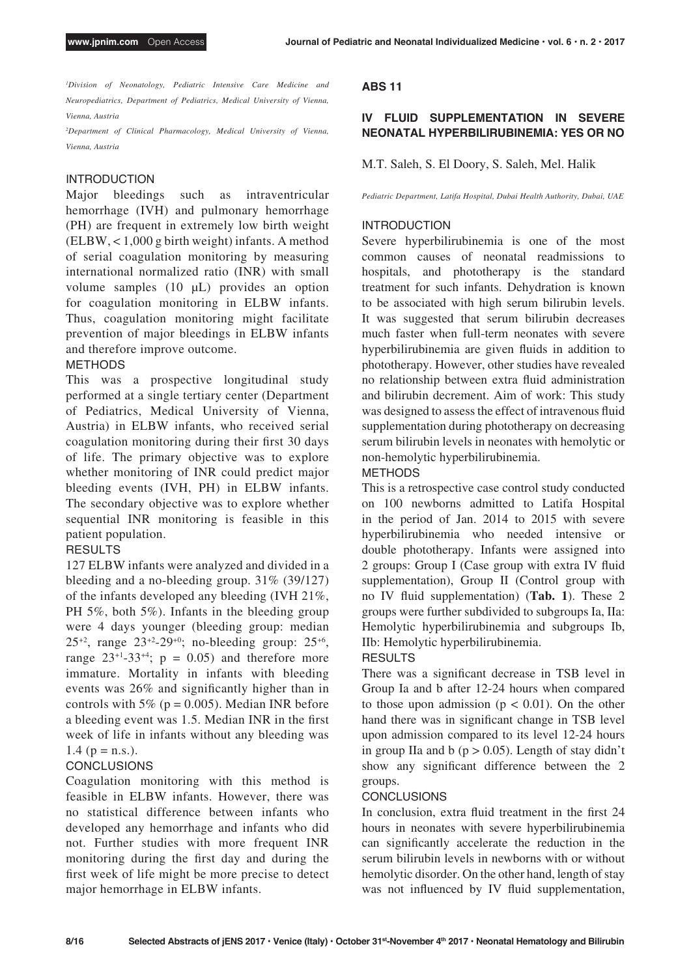*1 Division of Neonatology, Pediatric Intensive Care Medicine and Neuropediatrics, Department of Pediatrics, Medical University of Vienna, Vienna, Austria* 

*2 Department of Clinical Pharmacology, Medical University of Vienna, Vienna, Austria*

## INTRODUCTION

Major bleedings such as intraventricular hemorrhage (IVH) and pulmonary hemorrhage (PH) are frequent in extremely low birth weight (ELBW, < 1,000 g birth weight) infants. A method of serial coagulation monitoring by measuring international normalized ratio (INR) with small volume samples (10 μL) provides an option for coagulation monitoring in ELBW infants. Thus, coagulation monitoring might facilitate prevention of major bleedings in ELBW infants and therefore improve outcome.

#### METHODS

This was a prospective longitudinal study performed at a single tertiary center (Department of Pediatrics, Medical University of Vienna, Austria) in ELBW infants, who received serial coagulation monitoring during their first 30 days of life. The primary objective was to explore whether monitoring of INR could predict major bleeding events (IVH, PH) in ELBW infants. The secondary objective was to explore whether sequential INR monitoring is feasible in this patient population.

#### RESULTS

127 ELBW infants were analyzed and divided in a bleeding and a no-bleeding group. 31% (39/127) of the infants developed any bleeding (IVH 21%, PH 5%, both 5%). Infants in the bleeding group were 4 days younger (bleeding group: median  $25^{+2}$ , range  $23^{+2} - 29^{+0}$ ; no-bleeding group:  $25^{+6}$ , range  $23^{+1}-33^{+4}$ ;  $p = 0.05$ ) and therefore more immature. Mortality in infants with bleeding events was 26% and significantly higher than in controls with 5% ( $p = 0.005$ ). Median INR before a bleeding event was 1.5. Median INR in the first week of life in infants without any bleeding was  $1.4$  (p = n.s.).

# **CONCLUSIONS**

Coagulation monitoring with this method is feasible in ELBW infants. However, there was no statistical difference between infants who developed any hemorrhage and infants who did not. Further studies with more frequent INR monitoring during the first day and during the first week of life might be more precise to detect major hemorrhage in ELBW infants.

#### **ABS 11**

# **IV FLUID SUPPLEMENTATION IN SEVERE NEONATAL HYPERBILIRUBINEMIA: YES OR NO**

M.T. Saleh, S. El Doory, S. Saleh, Mel. Halik

*Pediatric Department, Latifa Hospital, Dubai Health Authority, Dubai, UAE*

## INTRODUCTION

Severe hyperbilirubinemia is one of the most common causes of neonatal readmissions to hospitals, and phototherapy is the standard treatment for such infants. Dehydration is known to be associated with high serum bilirubin levels. It was suggested that serum bilirubin decreases much faster when full-term neonates with severe hyperbilirubinemia are given fluids in addition to phototherapy. However, other studies have revealed no relationship between extra fluid administration and bilirubin decrement. Aim of work: This study was designed to assess the effect of intravenous fluid supplementation during phototherapy on decreasing serum bilirubin levels in neonates with hemolytic or non-hemolytic hyperbilirubinemia.

#### METHODS

This is a retrospective case control study conducted on 100 newborns admitted to Latifa Hospital in the period of Jan. 2014 to 2015 with severe hyperbilirubinemia who needed intensive or double phototherapy. Infants were assigned into 2 groups: Group I (Case group with extra IV fluid supplementation), Group II (Control group with no IV fluid supplementation) (**Tab. 1**). These 2 groups were further subdivided to subgroups Ia, IIa: Hemolytic hyperbilirubinemia and subgroups Ib, IIb: Hemolytic hyperbilirubinemia.

#### **RESULTS**

There was a significant decrease in TSB level in Group Ia and b after 12-24 hours when compared to those upon admission ( $p < 0.01$ ). On the other hand there was in significant change in TSB level upon admission compared to its level 12-24 hours in group IIa and  $b$  ( $p > 0.05$ ). Length of stay didn't show any significant difference between the 2 groups.

## **CONCLUSIONS**

In conclusion, extra fluid treatment in the first 24 hours in neonates with severe hyperbilirubinemia can significantly accelerate the reduction in the serum bilirubin levels in newborns with or without hemolytic disorder. On the other hand, length of stay was not influenced by IV fluid supplementation,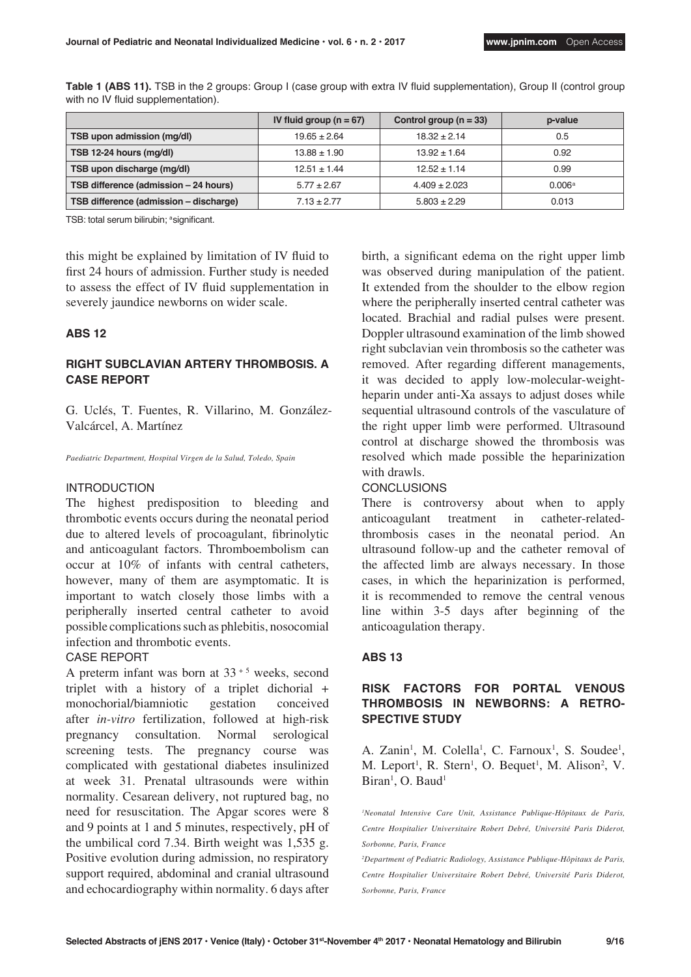|                                        | IV fluid group $(n = 67)$ | Control group ( $n = 33$ ) | p-value |
|----------------------------------------|---------------------------|----------------------------|---------|
| TSB upon admission (mg/dl)             | $19.65 \pm 2.64$          | $18.32 \pm 2.14$           | 0.5     |
| TSB 12-24 hours (mg/dl)                | $13.88 \pm 1.90$          | $13.92 \pm 1.64$           | 0.92    |
| TSB upon discharge (mg/dl)             | $12.51 \pm 1.44$          | $12.52 \pm 1.14$           | 0.99    |
| TSB difference (admission - 24 hours)  | $5.77 \pm 2.67$           | $4.409 \pm 2.023$          | 0.006a  |
| TSB difference (admission - discharge) | $7.13 \pm 2.77$           | $5.803 \pm 2.29$           | 0.013   |

**Table 1 (ABS 11).** TSB in the 2 groups: Group I (case group with extra IV fluid supplementation), Group II (control group with no IV fluid supplementation).

TSB: total serum bilirubin; ªsignificant.

this might be explained by limitation of IV fluid to first 24 hours of admission. Further study is needed to assess the effect of IV fluid supplementation in severely jaundice newborns on wider scale.

## **ABS 12**

# **RIGHT SUBCLAVIAN ARTERY THROMBOSIS. A CASE REPORT**

G. Uclés, T. Fuentes, R. Villarino, M. González-Valcárcel, A. Martínez

*Paediatric Department, Hospital Virgen de la Salud, Toledo, Spain*

#### INTRODUCTION

The highest predisposition to bleeding and thrombotic events occurs during the neonatal period due to altered levels of procoagulant, fibrinolytic and anticoagulant factors. Thromboembolism can occur at 10% of infants with central catheters, however, many of them are asymptomatic. It is important to watch closely those limbs with a peripherally inserted central catheter to avoid possible complications such as phlebitis, nosocomial infection and thrombotic events.

## CASE REPORT

A preterm infant was born at  $33^{+5}$  weeks, second triplet with a history of a triplet dichorial + monochorial/biamniotic gestation conceived after *in-vitro* fertilization, followed at high-risk pregnancy consultation. Normal serological screening tests. The pregnancy course was complicated with gestational diabetes insulinized at week 31. Prenatal ultrasounds were within normality. Cesarean delivery, not ruptured bag, no need for resuscitation. The Apgar scores were 8 and 9 points at 1 and 5 minutes, respectively, pH of the umbilical cord 7.34. Birth weight was 1,535 g. Positive evolution during admission, no respiratory support required, abdominal and cranial ultrasound and echocardiography within normality. 6 days after birth, a significant edema on the right upper limb was observed during manipulation of the patient. It extended from the shoulder to the elbow region where the peripherally inserted central catheter was located. Brachial and radial pulses were present. Doppler ultrasound examination of the limb showed right subclavian vein thrombosis so the catheter was removed. After regarding different managements, it was decided to apply low-molecular-weightheparin under anti-Xa assays to adjust doses while sequential ultrasound controls of the vasculature of the right upper limb were performed. Ultrasound control at discharge showed the thrombosis was resolved which made possible the heparinization with drawls.

#### **CONCLUSIONS**

There is controversy about when to apply anticoagulant treatment in catheter-relatedthrombosis cases in the neonatal period. An ultrasound follow-up and the catheter removal of the affected limb are always necessary. In those cases, in which the heparinization is performed, it is recommended to remove the central venous line within 3-5 days after beginning of the anticoagulation therapy.

## **ABS 13**

# **RISK FACTORS FOR PORTAL VENOUS THROMBOSIS IN NEWBORNS: A RETRO-SPECTIVE STUDY**

A. Zanin<sup>1</sup>, M. Colella<sup>1</sup>, C. Farnoux<sup>1</sup>, S. Soudee<sup>1</sup>, M. Leport<sup>1</sup>, R. Stern<sup>1</sup>, O. Bequet<sup>1</sup>, M. Alison<sup>2</sup>, V. Biran<sup>1</sup>, O. Baud<sup>1</sup>

<sup>1</sup>Neonatal Intensive Care Unit, Assistance Publique-Hôpitaux de Paris, *Centre Hospitalier Universitaire Robert Debré, Université Paris Diderot, Sorbonne, Paris, France*

<sup>2</sup>Department of Pediatric Radiology, Assistance Publique-Hôpitaux de Paris, *Centre Hospitalier Universitaire Robert Debré, Université Paris Diderot, Sorbonne, Paris, France*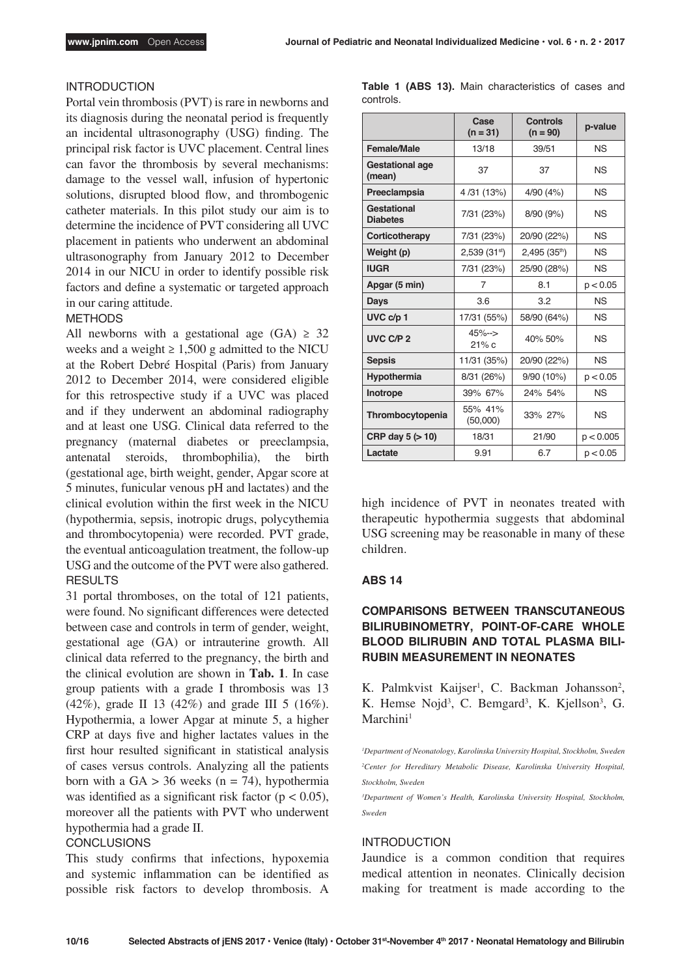## INTRODUCTION

Portal vein thrombosis (PVT) is rare in newborns and its diagnosis during the neonatal period is frequently an incidental ultrasonography (USG) finding. The principal risk factor is UVC placement. Central lines can favor the thrombosis by several mechanisms: damage to the vessel wall, infusion of hypertonic solutions, disrupted blood flow, and thrombogenic catheter materials. In this pilot study our aim is to determine the incidence of PVT considering all UVC placement in patients who underwent an abdominal ultrasonography from January 2012 to December 2014 in our NICU in order to identify possible risk factors and define a systematic or targeted approach in our caring attitude.

#### METHODS

All newborns with a gestational age  $(GA) \geq 32$ weeks and a weight  $\geq 1,500$  g admitted to the NICU at the Robert Debré Hospital (Paris) from January 2012 to December 2014, were considered eligible for this retrospective study if a UVC was placed and if they underwent an abdominal radiography and at least one USG. Clinical data referred to the pregnancy (maternal diabetes or preeclampsia, antenatal steroids, thrombophilia), the birth (gestational age, birth weight, gender, Apgar score at 5 minutes, funicular venous pH and lactates) and the clinical evolution within the first week in the NICU (hypothermia, sepsis, inotropic drugs, polycythemia and thrombocytopenia) were recorded. PVT grade, the eventual anticoagulation treatment, the follow-up USG and the outcome of the PVT were also gathered. **RESULTS** 

31 portal thromboses, on the total of 121 patients, were found. No significant differences were detected between case and controls in term of gender, weight, gestational age (GA) or intrauterine growth. All clinical data referred to the pregnancy, the birth and the clinical evolution are shown in **Tab. 1**. In case group patients with a grade I thrombosis was 13 (42%), grade II 13 (42%) and grade III 5 (16%). Hypothermia, a lower Apgar at minute 5, a higher CRP at days five and higher lactates values in the first hour resulted significant in statistical analysis of cases versus controls. Analyzing all the patients born with a  $GA > 36$  weeks (n = 74), hypothermia was identified as a significant risk factor ( $p < 0.05$ ), moreover all the patients with PVT who underwent hypothermia had a grade II.

## **CONCLUSIONS**

This study confirms that infections, hypoxemia and systemic inflammation can be identified as possible risk factors to develop thrombosis. A

|           |  | <b>Table 1 (ABS 13).</b> Main characteristics of cases and |  |  |
|-----------|--|------------------------------------------------------------|--|--|
| controls. |  |                                                            |  |  |

|                                  | Case<br>$(n = 31)$    | Controls<br>$(n = 90)$   | p-value   |  |
|----------------------------------|-----------------------|--------------------------|-----------|--|
| Female/Male                      | 13/18                 | 39/51                    | <b>NS</b> |  |
| <b>Gestational age</b><br>(mean) | 37                    | 37                       | <b>NS</b> |  |
| Preeclampsia                     | 4/31 (13%)            | 4/90 (4%)                | <b>NS</b> |  |
| Gestational<br><b>Diabetes</b>   | 7/31 (23%)            | 8/90 (9%)                | <b>NS</b> |  |
| Corticotherapy                   | 7/31 (23%)            | 20/90 (22%)              | NS        |  |
| Weight (p)                       | 2,539(31st)           | 2,495(35 <sup>th</sup> ) | NS        |  |
| <b>IUGR</b>                      | 7/31 (23%)            | 25/90 (28%)              | <b>NS</b> |  |
| Apgar (5 min)                    | 7                     | 8.1                      | p < 0.05  |  |
| Days                             | 3.6                   | 3.2                      | <b>NS</b> |  |
| UVC c/p 1                        | 17/31 (55%)           | 58/90 (64%)              | <b>NS</b> |  |
| UVC C/P 2                        | $45% - >$<br>$21\%$ C | 40% 50%                  | <b>NS</b> |  |
| <b>Sepsis</b>                    | 11/31 (35%)           | 20/90 (22%)              | NS        |  |
| Hypothermia                      | 8/31 (26%)            | 9/90 (10%)               | p < 0.05  |  |
| Inotrope                         | 39% 67%               | 24% 54%                  | <b>NS</b> |  |
| Thrombocytopenia                 | 55% 41%<br>(50,000)   | 33% 27%                  | NS        |  |
| CRP day $5 (> 10)$               | 18/31                 | 21/90                    | p < 0.005 |  |
| Lactate                          | 9.91                  | 6.7                      | p < 0.05  |  |

high incidence of PVT in neonates treated with therapeutic hypothermia suggests that abdominal USG screening may be reasonable in many of these children.

## **ABS 14**

# **COMPARISONS BETWEEN TRANSCUTANEOUS BILIRUBINOMETRY, POINT-OF-CARE WHOLE BLOOD BILIRUBIN AND TOTAL PLASMA BILI-RUBIN MEASUREMENT IN NEONATES**

K. Palmkvist Kaijser<sup>1</sup>, C. Backman Johansson<sup>2</sup>, K. Hemse Nojd<sup>3</sup>, C. Bemgard<sup>3</sup>, K. Kjellson<sup>3</sup>, G. Marchini<sup>1</sup>

*3 Department of Women's Health, Karolinska University Hospital, Stockholm, Sweden*

## INTRODUCTION

Jaundice is a common condition that requires medical attention in neonates. Clinically decision making for treatment is made according to the

<sup>&</sup>lt;sup>1</sup>Department of Neonatology, Karolinska University Hospital, Stockholm, Sweden *2 Center for Hereditary Metabolic Disease, Karolinska University Hospital, Stockholm, Sweden*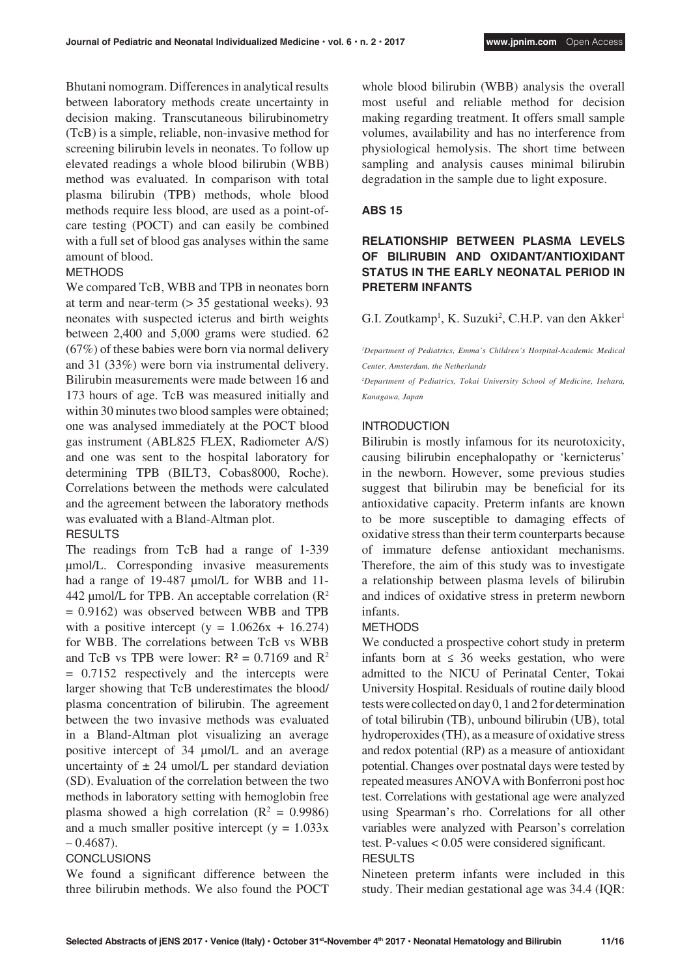Bhutani nomogram. Differences in analytical results between laboratory methods create uncertainty in decision making. Transcutaneous bilirubinometry (TcB) is a simple, reliable, non-invasive method for screening bilirubin levels in neonates. To follow up elevated readings a whole blood bilirubin (WBB) method was evaluated. In comparison with total plasma bilirubin (TPB) methods, whole blood methods require less blood, are used as a point-ofcare testing (POCT) and can easily be combined with a full set of blood gas analyses within the same amount of blood.

## **METHODS**

We compared TcB, WBB and TPB in neonates born at term and near-term  $(> 35$  gestational weeks). 93 neonates with suspected icterus and birth weights between 2,400 and 5,000 grams were studied. 62 (67%) of these babies were born via normal delivery and 31 (33%) were born via instrumental delivery. Bilirubin measurements were made between 16 and 173 hours of age. TcB was measured initially and within 30 minutes two blood samples were obtained; one was analysed immediately at the POCT blood gas instrument (ABL825 FLEX, Radiometer A/S) and one was sent to the hospital laboratory for determining TPB (BILT3, Cobas8000, Roche). Correlations between the methods were calculated and the agreement between the laboratory methods was evaluated with a Bland-Altman plot. **RESULTS** 

The readings from TcB had a range of 1-339 µmol/L. Corresponding invasive measurements had a range of 19-487 µmol/L for WBB and 11-442 µmol/L for TPB. An acceptable correlation  $(R^2)$ = 0.9162) was observed between WBB and TPB with a positive intercept (y =  $1.0626x + 16.274$ ) for WBB. The correlations between TcB vs WBB and TcB vs TPB were lower:  $R^2 = 0.7169$  and  $R^2$ = 0.7152 respectively and the intercepts were larger showing that TcB underestimates the blood/ plasma concentration of bilirubin. The agreement between the two invasive methods was evaluated in a Bland-Altman plot visualizing an average positive intercept of 34 µmol/L and an average uncertainty of  $\pm$  24 umol/L per standard deviation (SD). Evaluation of the correlation between the two methods in laboratory setting with hemoglobin free plasma showed a high correlation  $(R^2 = 0.9986)$ and a much smaller positive intercept  $(y = 1.033x)$  $-0.4687$ ).

#### **CONCLUSIONS**

We found a significant difference between the three bilirubin methods. We also found the POCT whole blood bilirubin (WBB) analysis the overall most useful and reliable method for decision making regarding treatment. It offers small sample volumes, availability and has no interference from physiological hemolysis. The short time between sampling and analysis causes minimal bilirubin degradation in the sample due to light exposure.

## **ABS 15**

# **RELATIONSHIP BETWEEN PLASMA LEVELS OF BILIRUBIN AND OXIDANT/ANTIOXIDANT STATUS IN THE EARLY NEONATAL PERIOD IN PRETERM INFANTS**

G.I. Zoutkamp<sup>1</sup>, K. Suzuki<sup>2</sup>, C.H.P. van den Akker<sup>1</sup>

<sup>1</sup>Department of Pediatrics, Emma's Children's Hospital-Academic Medical *Center, Amsterdam, the Netherlands* 

<sup>2</sup>Department of Pediatrics, Tokai University School of Medicine, Isehara, *Kanagawa, Japan* 

## INTRODUCTION

Bilirubin is mostly infamous for its neurotoxicity, causing bilirubin encephalopathy or 'kernicterus' in the newborn. However, some previous studies suggest that bilirubin may be beneficial for its antioxidative capacity. Preterm infants are known to be more susceptible to damaging effects of oxidative stress than their term counterparts because of immature defense antioxidant mechanisms. Therefore, the aim of this study was to investigate a relationship between plasma levels of bilirubin and indices of oxidative stress in preterm newborn infants.

#### METHODS

We conducted a prospective cohort study in preterm infants born at  $\leq$  36 weeks gestation, who were admitted to the NICU of Perinatal Center, Tokai University Hospital. Residuals of routine daily blood tests were collected on day 0, 1 and 2 for determination of total bilirubin (TB), unbound bilirubin (UB), total hydroperoxides (TH), as a measure of oxidative stress and redox potential (RP) as a measure of antioxidant potential. Changes over postnatal days were tested by repeated measures ANOVA with Bonferroni post hoc test. Correlations with gestational age were analyzed using Spearman's rho. Correlations for all other variables were analyzed with Pearson's correlation test. P-values < 0.05 were considered significant. **RESULTS** 

Nineteen preterm infants were included in this study. Their median gestational age was 34.4 (IQR: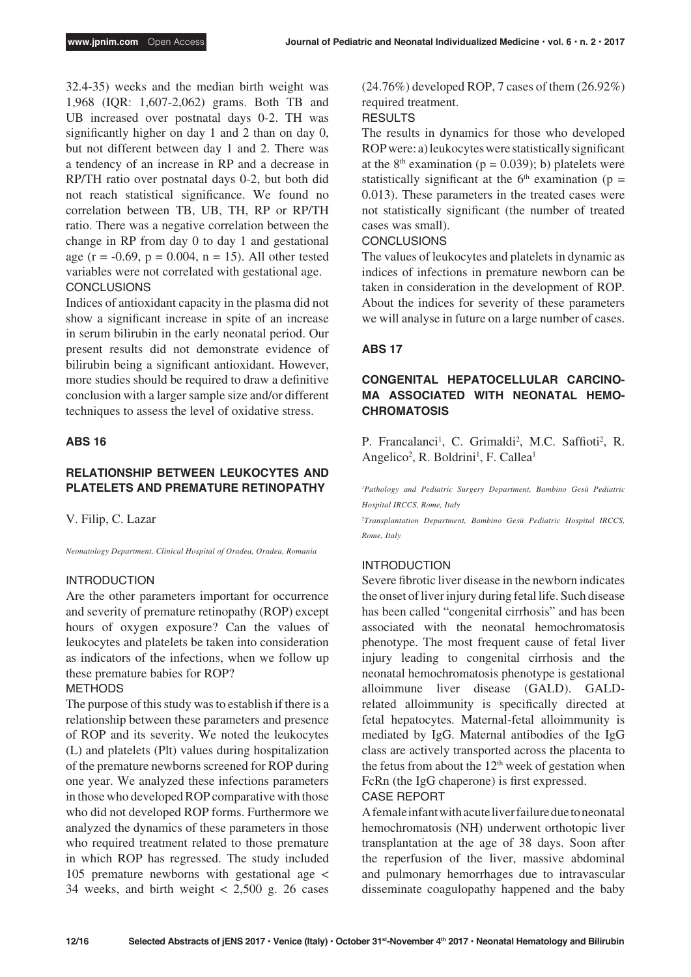32.4-35) weeks and the median birth weight was 1,968 (IQR: 1,607-2,062) grams. Both TB and UB increased over postnatal days 0-2. TH was significantly higher on day 1 and 2 than on day 0, but not different between day 1 and 2. There was a tendency of an increase in RP and a decrease in RP/TH ratio over postnatal days 0-2, but both did not reach statistical significance. We found no correlation between TB, UB, TH, RP or RP/TH ratio. There was a negative correlation between the change in RP from day 0 to day 1 and gestational age ( $r = -0.69$ ,  $p = 0.004$ ,  $n = 15$ ). All other tested variables were not correlated with gestational age. **CONCLUSIONS** 

Indices of antioxidant capacity in the plasma did not show a significant increase in spite of an increase in serum bilirubin in the early neonatal period. Our present results did not demonstrate evidence of bilirubin being a significant antioxidant. However, more studies should be required to draw a definitive conclusion with a larger sample size and/or different techniques to assess the level of oxidative stress.

#### **ABS 16**

# **RELATIONSHIP BETWEEN LEUKOCYTES AND PLATELETS AND PREMATURE RETINOPATHY**

V. Filip, C. Lazar

*Neonatology Department, Clinical Hospital of Oradea, Oradea, Romania*

# INTRODUCTION

Are the other parameters important for occurrence and severity of premature retinopathy (ROP) except hours of oxygen exposure? Can the values of leukocytes and platelets be taken into consideration as indicators of the infections, when we follow up these premature babies for ROP?

# METHODS

The purpose of this study was to establish if there is a relationship between these parameters and presence of ROP and its severity. We noted the leukocytes (L) and platelets (Plt) values during hospitalization of the premature newborns screened for ROP during one year. We analyzed these infections parameters in those who developed ROP comparative with those who did not developed ROP forms. Furthermore we analyzed the dynamics of these parameters in those who required treatment related to those premature in which ROP has regressed. The study included 105 premature newborns with gestational age < 34 weeks, and birth weight  $< 2,500$  g. 26 cases

(24.76%) developed ROP, 7 cases of them (26.92%) required treatment.

## **RESULTS**

The results in dynamics for those who developed ROP were: a) leukocytes were statistically significant at the  $8<sup>th</sup>$  examination (p = 0.039); b) platelets were statistically significant at the  $6<sup>th</sup>$  examination (p = 0.013). These parameters in the treated cases were not statistically significant (the number of treated cases was small).

## **CONCLUSIONS**

The values of leukocytes and platelets in dynamic as indices of infections in premature newborn can be taken in consideration in the development of ROP. About the indices for severity of these parameters we will analyse in future on a large number of cases.

# **ABS 17**

# **CONGENITAL HEPATOCELLULAR CARCINO-MA ASSOCIATED WITH NEONATAL HEMO-CHROMATOSIS**

P. Francalanci<sup>1</sup>, C. Grimaldi<sup>2</sup>, M.C. Saffioti<sup>2</sup>, R. Angelico<sup>2</sup>, R. Boldrini<sup>1</sup>, F. Callea<sup>1</sup>

*1 Pathology and Pediatric Surgery Department, Bambino Gesù Pediatric Hospital IRCCS, Rome, Italy*

*2 Transplantation Department, Bambino Gesù Pediatric Hospital IRCCS, Rome, Italy*

# INTRODUCTION

Severe fibrotic liver disease in the newborn indicates the onset of liver injury during fetal life. Such disease has been called "congenital cirrhosis" and has been associated with the neonatal hemochromatosis phenotype. The most frequent cause of fetal liver injury leading to congenital cirrhosis and the neonatal hemochromatosis phenotype is gestational alloimmune liver disease (GALD). GALDrelated alloimmunity is specifically directed at fetal hepatocytes. Maternal-fetal alloimmunity is mediated by IgG. Maternal antibodies of the IgG class are actively transported across the placenta to the fetus from about the  $12<sup>th</sup>$  week of gestation when FcRn (the IgG chaperone) is first expressed.

# CASE REPORT

A female infant with acute liver failure due to neonatal hemochromatosis (NH) underwent orthotopic liver transplantation at the age of 38 days. Soon after the reperfusion of the liver, massive abdominal and pulmonary hemorrhages due to intravascular disseminate coagulopathy happened and the baby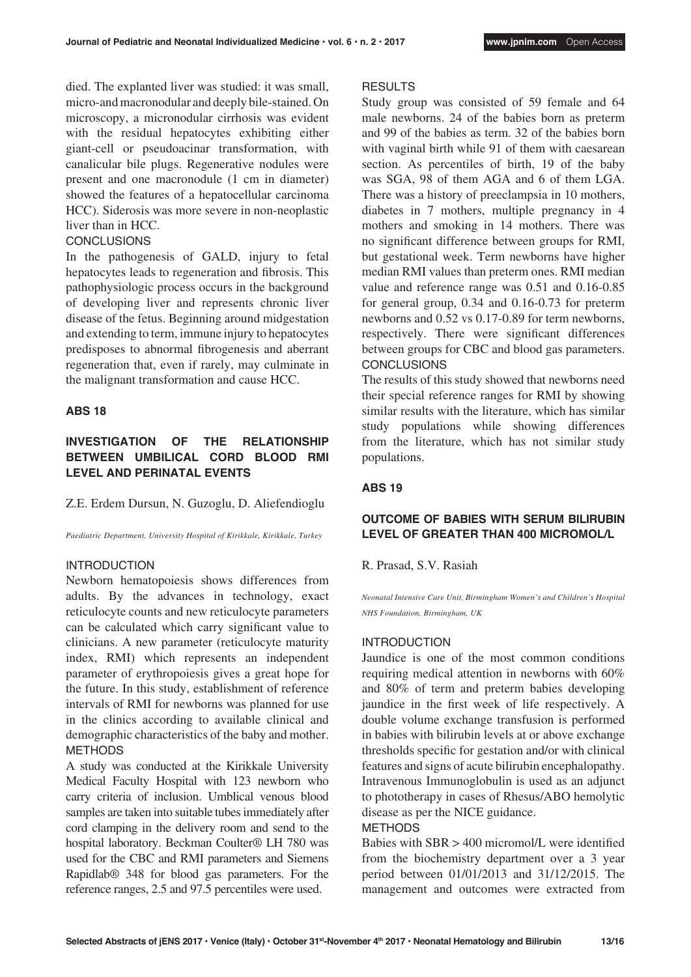died. The explanted liver was studied: it was small, micro-and macronodular and deeply bile-stained. On microscopy, a micronodular cirrhosis was evident with the residual hepatocytes exhibiting either giant-cell or pseudoacinar transformation, with canalicular bile plugs. Regenerative nodules were present and one macronodule (1 cm in diameter) showed the features of a hepatocellular carcinoma HCC). Siderosis was more severe in non-neoplastic liver than in HCC.

#### **CONCLUSIONS**

In the pathogenesis of GALD, injury to fetal hepatocytes leads to regeneration and fibrosis. This pathophysiologic process occurs in the background of developing liver and represents chronic liver disease of the fetus. Beginning around midgestation and extending to term, immune injury to hepatocytes predisposes to abnormal fibrogenesis and aberrant regeneration that, even if rarely, may culminate in the malignant transformation and cause HCC.

## **ABS 18**

# **INVESTIGATION OF THE RELATIONSHIP BETWEEN UMBILICAL CORD BLOOD RMI LEVEL AND PERINATAL EVENTS**

Z.E. Erdem Dursun, N. Guzoglu, D. Aliefendioglu

*Paediatric Department, University Hospital of Kirikkale, Kirikkale, Turkey*

## INTRODUCTION

Newborn hematopoiesis shows differences from adults. By the advances in technology, exact reticulocyte counts and new reticulocyte parameters can be calculated which carry significant value to clinicians. A new parameter (reticulocyte maturity index, RMI) which represents an independent parameter of erythropoiesis gives a great hope for the future. In this study, establishment of reference intervals of RMI for newborns was planned for use in the clinics according to available clinical and demographic characteristics of the baby and mother. METHODS

A study was conducted at the Kirikkale University Medical Faculty Hospital with 123 newborn who carry criteria of inclusion. Umblical venous blood samples are taken into suitable tubes immediately after cord clamping in the delivery room and send to the hospital laboratory. Beckman Coulter® LH 780 was used for the CBC and RMI parameters and Siemens Rapidlab® 348 for blood gas parameters. For the reference ranges, 2.5 and 97.5 percentiles were used.

#### RESULTS

Study group was consisted of 59 female and 64 male newborns. 24 of the babies born as preterm and 99 of the babies as term. 32 of the babies born with vaginal birth while 91 of them with caesarean section. As percentiles of birth, 19 of the baby was SGA, 98 of them AGA and 6 of them LGA. There was a history of preeclampsia in 10 mothers, diabetes in 7 mothers, multiple pregnancy in 4 mothers and smoking in 14 mothers. There was no significant difference between groups for RMI, but gestational week. Term newborns have higher median RMI values than preterm ones. RMI median value and reference range was 0.51 and 0.16-0.85 for general group, 0.34 and 0.16-0.73 for preterm newborns and 0.52 vs 0.17-0.89 for term newborns, respectively. There were significant differences between groups for CBC and blood gas parameters. **CONCLUSIONS** 

The results of this study showed that newborns need their special reference ranges for RMI by showing similar results with the literature, which has similar study populations while showing differences from the literature, which has not similar study populations.

## **ABS 19**

# **OUTCOME OF BABIES WITH SERUM BILIRUBIN LEVEL OF GREATER THAN 400 MICROMOL/L**

R. Prasad, S.V. Rasiah

*Neonatal Intensive Care Unit, Birmingham Women's and Children's Hospital NHS Foundation, Birmingham, UK*

## INTRODUCTION

Jaundice is one of the most common conditions requiring medical attention in newborns with 60% and 80% of term and preterm babies developing jaundice in the first week of life respectively. A double volume exchange transfusion is performed in babies with bilirubin levels at or above exchange thresholds specific for gestation and/or with clinical features and signs of acute bilirubin encephalopathy. Intravenous Immunoglobulin is used as an adjunct to phototherapy in cases of Rhesus/ABO hemolytic disease as per the NICE guidance.

METHODS

Babies with SBR > 400 micromol/L were identified from the biochemistry department over a 3 year period between 01/01/2013 and 31/12/2015. The management and outcomes were extracted from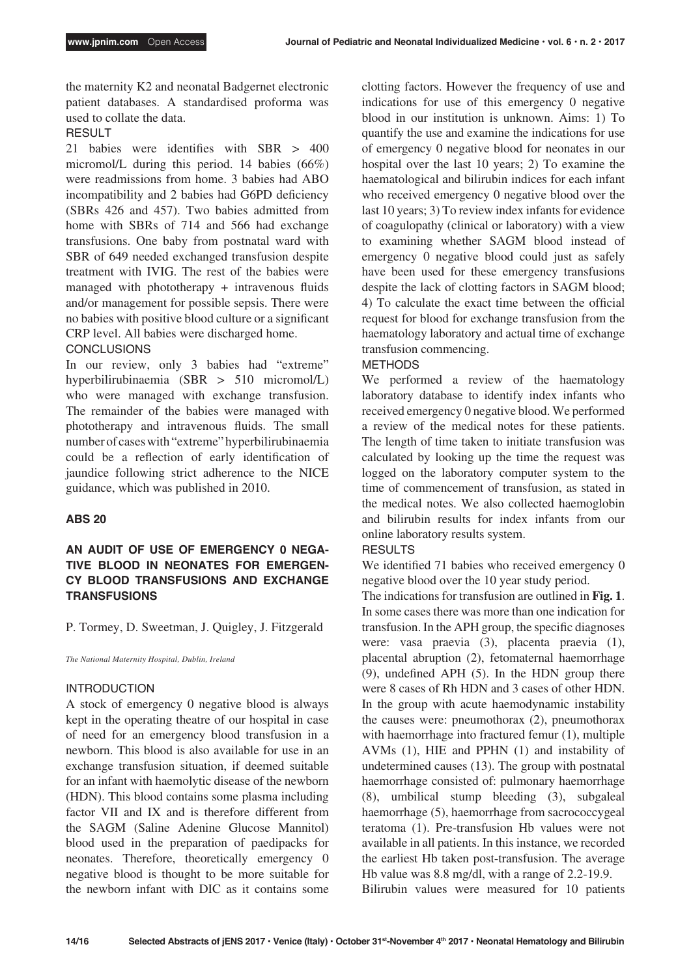the maternity K2 and neonatal Badgernet electronic patient databases. A standardised proforma was used to collate the data.

# RESULT

21 babies were identifies with SBR > 400 micromol/L during this period. 14 babies (66%) were readmissions from home. 3 babies had ABO incompatibility and 2 babies had G6PD deficiency (SBRs 426 and 457). Two babies admitted from home with SBRs of 714 and 566 had exchange transfusions. One baby from postnatal ward with SBR of 649 needed exchanged transfusion despite treatment with IVIG. The rest of the babies were managed with phototherapy + intravenous fluids and/or management for possible sepsis. There were no babies with positive blood culture or a significant CRP level. All babies were discharged home. **CONCLUSIONS** 

In our review, only 3 babies had "extreme" hyperbilirubinaemia (SBR > 510 micromol/L) who were managed with exchange transfusion. The remainder of the babies were managed with phototherapy and intravenous fluids. The small number of cases with "extreme" hyperbilirubinaemia could be a reflection of early identification of jaundice following strict adherence to the NICE guidance, which was published in 2010.

## **ABS 20**

# **AN AUDIT OF USE OF EMERGENCY 0 NEGA-TIVE BLOOD IN NEONATES FOR EMERGEN-CY BLOOD TRANSFUSIONS AND EXCHANGE TRANSFUSIONS**

P. Tormey, D. Sweetman, J. Quigley, J. Fitzgerald

*The National Maternity Hospital, Dublin, Ireland*

## INTRODUCTION

A stock of emergency 0 negative blood is always kept in the operating theatre of our hospital in case of need for an emergency blood transfusion in a newborn. This blood is also available for use in an exchange transfusion situation, if deemed suitable for an infant with haemolytic disease of the newborn (HDN). This blood contains some plasma including factor VII and IX and is therefore different from the SAGM (Saline Adenine Glucose Mannitol) blood used in the preparation of paedipacks for neonates. Therefore, theoretically emergency 0 negative blood is thought to be more suitable for the newborn infant with DIC as it contains some

clotting factors. However the frequency of use and indications for use of this emergency 0 negative blood in our institution is unknown. Aims: 1) To quantify the use and examine the indications for use of emergency 0 negative blood for neonates in our hospital over the last 10 years; 2) To examine the haematological and bilirubin indices for each infant who received emergency 0 negative blood over the last 10 years; 3) To review index infants for evidence of coagulopathy (clinical or laboratory) with a view to examining whether SAGM blood instead of emergency 0 negative blood could just as safely have been used for these emergency transfusions despite the lack of clotting factors in SAGM blood; 4) To calculate the exact time between the official request for blood for exchange transfusion from the haematology laboratory and actual time of exchange transfusion commencing.

#### METHODS

We performed a review of the haematology laboratory database to identify index infants who received emergency 0 negative blood. We performed a review of the medical notes for these patients. The length of time taken to initiate transfusion was calculated by looking up the time the request was logged on the laboratory computer system to the time of commencement of transfusion, as stated in the medical notes. We also collected haemoglobin and bilirubin results for index infants from our online laboratory results system.

#### RESULTS

We identified 71 babies who received emergency 0 negative blood over the 10 year study period.

The indications for transfusion are outlined in **Fig. 1**. In some cases there was more than one indication for transfusion. In the APH group, the specific diagnoses were: vasa praevia (3), placenta praevia (1), placental abruption (2), fetomaternal haemorrhage (9), undefined APH (5). In the HDN group there were 8 cases of Rh HDN and 3 cases of other HDN. In the group with acute haemodynamic instability the causes were: pneumothorax (2), pneumothorax with haemorrhage into fractured femur (1), multiple AVMs (1), HIE and PPHN (1) and instability of undetermined causes (13). The group with postnatal haemorrhage consisted of: pulmonary haemorrhage (8), umbilical stump bleeding (3), subgaleal haemorrhage (5), haemorrhage from sacrococcygeal teratoma (1). Pre-transfusion Hb values were not available in all patients. In this instance, we recorded the earliest Hb taken post-transfusion. The average Hb value was 8.8 mg/dl, with a range of 2.2-19.9. Bilirubin values were measured for 10 patients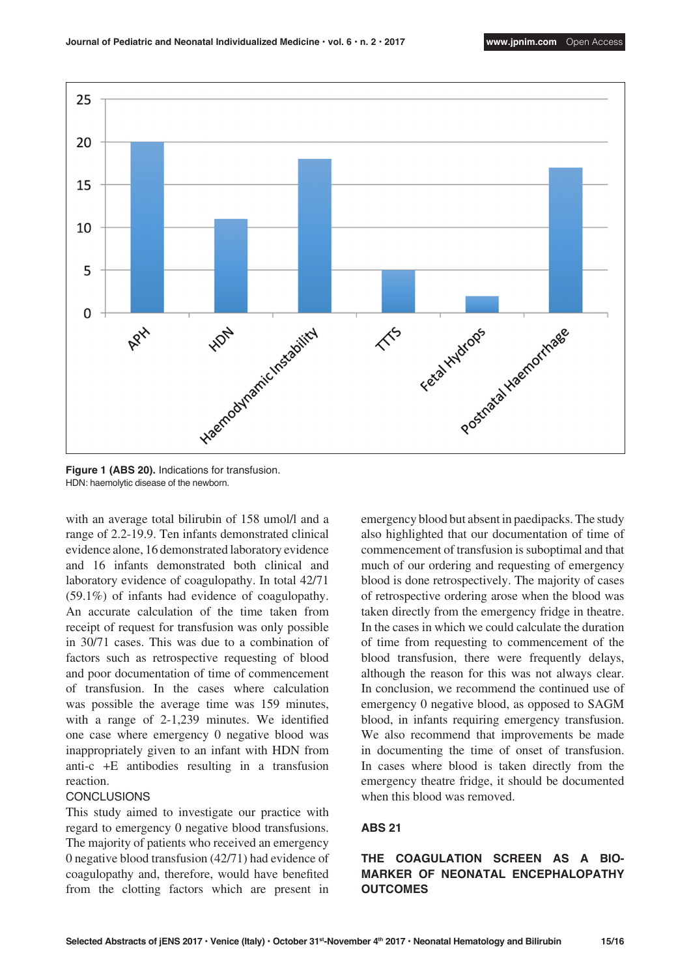

**Figure 1 (ABS 20).** Indications for transfusion. HDN: haemolytic disease of the newborn.

with an average total bilirubin of 158 umol/l and a range of 2.2-19.9. Ten infants demonstrated clinical evidence alone, 16 demonstrated laboratory evidence and 16 infants demonstrated both clinical and laboratory evidence of coagulopathy. In total 42/71 (59.1%) of infants had evidence of coagulopathy. An accurate calculation of the time taken from receipt of request for transfusion was only possible in 30/71 cases. This was due to a combination of factors such as retrospective requesting of blood and poor documentation of time of commencement of transfusion. In the cases where calculation was possible the average time was 159 minutes, with a range of 2-1,239 minutes. We identified one case where emergency 0 negative blood was inappropriately given to an infant with HDN from anti-c +E antibodies resulting in a transfusion reaction.

### **CONCLUSIONS**

This study aimed to investigate our practice with regard to emergency 0 negative blood transfusions. The majority of patients who received an emergency 0 negative blood transfusion (42/71) had evidence of coagulopathy and, therefore, would have benefited from the clotting factors which are present in

emergency blood but absent in paedipacks. The study also highlighted that our documentation of time of commencement of transfusion is suboptimal and that much of our ordering and requesting of emergency blood is done retrospectively. The majority of cases of retrospective ordering arose when the blood was taken directly from the emergency fridge in theatre. In the cases in which we could calculate the duration of time from requesting to commencement of the blood transfusion, there were frequently delays, although the reason for this was not always clear. In conclusion, we recommend the continued use of emergency 0 negative blood, as opposed to SAGM blood, in infants requiring emergency transfusion. We also recommend that improvements be made in documenting the time of onset of transfusion. In cases where blood is taken directly from the emergency theatre fridge, it should be documented when this blood was removed.

# **ABS 21**

# **THE COAGULATION SCREEN AS A BIO-MARKER OF NEONATAL ENCEPHALOPATHY OUTCOMES**